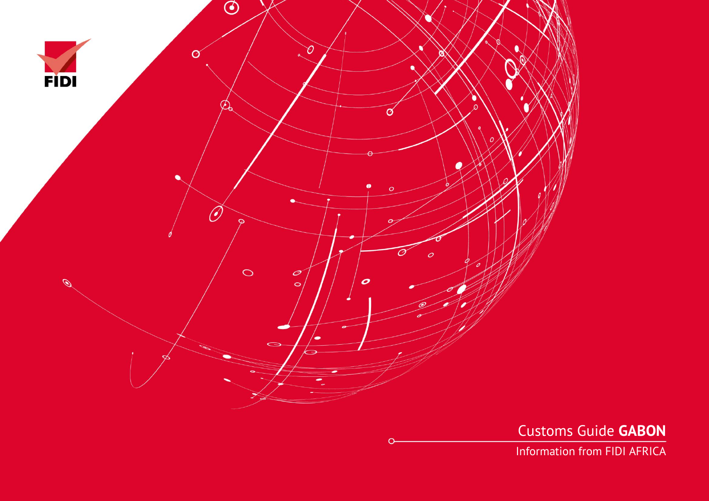

Customs Guide **GABON**

Information from FIDI AFRICA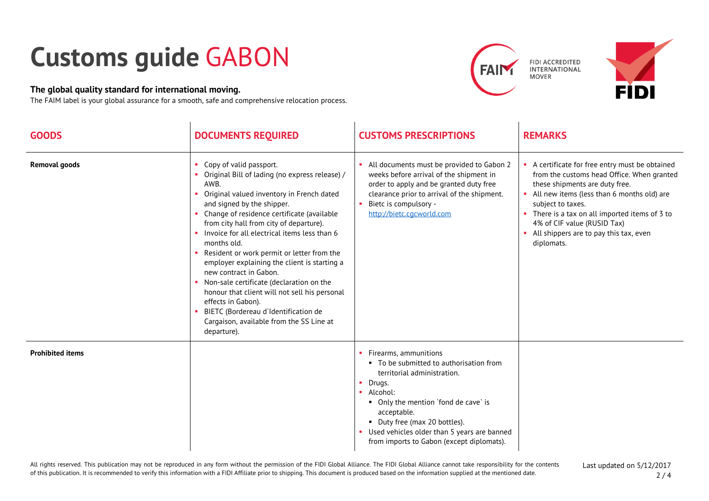## **Customs guide** GABON

## **The global quality standard for international moving.**

The FAIM label is your global assurance for a smooth, safe and comprehensive relocation process.





| <b>GOODS</b>            | <b>DOCUMENTS REQUIRED</b>                                                                                                                                                                                                                                                                                                                                                                                                                                                                                                                                                                                                                                                      | <b>CUSTOMS PRESCRIPTIONS</b>                                                                                                                                                                                                                                                                                                 | <b>REMARKS</b>                                                                                                                                                                                                                                                                                                                                |
|-------------------------|--------------------------------------------------------------------------------------------------------------------------------------------------------------------------------------------------------------------------------------------------------------------------------------------------------------------------------------------------------------------------------------------------------------------------------------------------------------------------------------------------------------------------------------------------------------------------------------------------------------------------------------------------------------------------------|------------------------------------------------------------------------------------------------------------------------------------------------------------------------------------------------------------------------------------------------------------------------------------------------------------------------------|-----------------------------------------------------------------------------------------------------------------------------------------------------------------------------------------------------------------------------------------------------------------------------------------------------------------------------------------------|
| <b>Removal goods</b>    | Copy of valid passport.<br>Original Bill of lading (no express release) /<br>AWB.<br>Original valued inventory in French dated<br>п.<br>and signed by the shipper.<br>• Change of residence certificate (available<br>from city hall from city of departure).<br>Invoice for all electrical items less than 6<br>months old.<br>• Resident or work permit or letter from the<br>employer explaining the client is starting a<br>new contract in Gabon.<br>• Non-sale certificate (declaration on the<br>honour that client will not sell his personal<br>effects in Gabon).<br>BIETC (Bordereau d'Identification de<br>Cargaison, available from the SS Line at<br>departure). | All documents must be provided to Gabon 2<br>weeks before arrival of the shipment in<br>order to apply and be granted duty free<br>clearance prior to arrival of the shipment.<br>Bietc is compulsory -<br>http://bietc.cqcworld.com                                                                                         | A certificate for free entry must be obtained<br>from the customs head Office. When granted<br>these shipments are duty free.<br>• All new items (less than 6 months old) are<br>subject to taxes.<br>• There is a tax on all imported items of 3 to<br>4% of CIF value (RUSID Tax)<br>• All shippers are to pay this tax, even<br>diplomats. |
| <b>Prohibited items</b> |                                                                                                                                                                                                                                                                                                                                                                                                                                                                                                                                                                                                                                                                                | • Firearms, ammunitions<br>• To be submitted to authorisation from<br>territorial administration.<br>$\blacksquare$ Drugs.<br>Alcohol:<br>• Only the mention `fond de cave` is<br>acceptable.<br>• Duty free (max 20 bottles).<br>• Used vehicles older than 5 years are banned<br>from imports to Gabon (except diplomats). |                                                                                                                                                                                                                                                                                                                                               |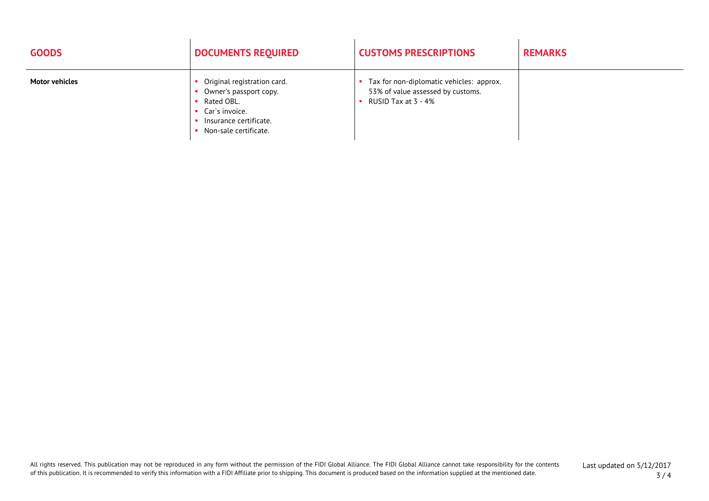| <b>GOODS</b>          | <b>DOCUMENTS REQUIRED</b>                                                                                                                | <b>CUSTOMS PRESCRIPTIONS</b>                                                                         | <b>REMARKS</b> |
|-----------------------|------------------------------------------------------------------------------------------------------------------------------------------|------------------------------------------------------------------------------------------------------|----------------|
| <b>Motor vehicles</b> | Original registration card.<br>Owner's passport copy.<br>Rated OBL.<br>Car`s invoice.<br>Insurance certificate.<br>Non-sale certificate. | Tax for non-diplomatic vehicles: approx.<br>53% of value assessed by customs.<br>RUSID Tax at 3 - 4% |                |